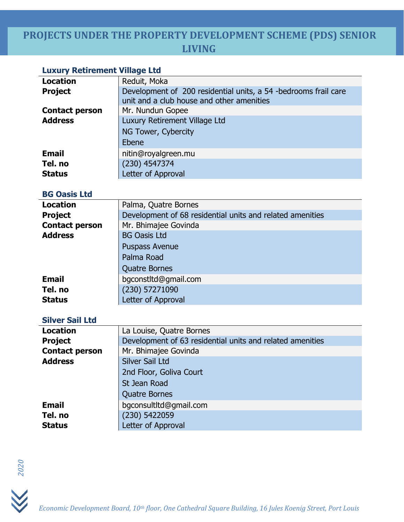# **PROJECTS UNDER THE PROPERTY DEVELOPMENT SCHEME (PDS) SENIOR LIVING**

### **Luxury Retirement Village Ltd**

| <b>Location</b>       | Reduit, Moka                                                                                                 |  |
|-----------------------|--------------------------------------------------------------------------------------------------------------|--|
| <b>Project</b>        | Development of 200 residential units, a 54 -bedrooms frail care<br>unit and a club house and other amenities |  |
| <b>Contact person</b> | Mr. Nundun Gopee                                                                                             |  |
| <b>Address</b>        | Luxury Retirement Village Ltd                                                                                |  |
|                       | NG Tower, Cybercity                                                                                          |  |
|                       | Ebene                                                                                                        |  |
| <b>Email</b>          | nitin@royalgreen.mu                                                                                          |  |
| Tel. no               | $(230)$ 4547374                                                                                              |  |
| <b>Status</b>         | Letter of Approval                                                                                           |  |

## **BG Oasis Ltd**

| <b>Location</b>       | Palma, Quatre Bornes                                      |  |
|-----------------------|-----------------------------------------------------------|--|
| <b>Project</b>        | Development of 68 residential units and related amenities |  |
| <b>Contact person</b> | Mr. Bhimajee Govinda                                      |  |
| <b>Address</b>        | <b>BG Oasis Ltd</b>                                       |  |
|                       | <b>Puspass Avenue</b>                                     |  |
|                       | Palma Road                                                |  |
|                       | <b>Quatre Bornes</b>                                      |  |
| <b>Email</b>          | bgconstltd@gmail.com                                      |  |
| Tel. no               | (230) 57271090                                            |  |
| <b>Status</b>         | Letter of Approval                                        |  |

#### **Silver Sail Ltd**

| <b>Location</b>       | La Louise, Quatre Bornes                                  |
|-----------------------|-----------------------------------------------------------|
| <b>Project</b>        | Development of 63 residential units and related amenities |
| <b>Contact person</b> | Mr. Bhimajee Govinda                                      |
| <b>Address</b>        | Silver Sail Ltd                                           |
|                       | 2nd Floor, Goliva Court                                   |
|                       | St Jean Road                                              |
|                       | <b>Quatre Bornes</b>                                      |
| <b>Email</b>          | bgconsultItd@gmail.com                                    |
| Tel. no               | (230) 5422059                                             |
| <b>Status</b>         | Letter of Approval                                        |